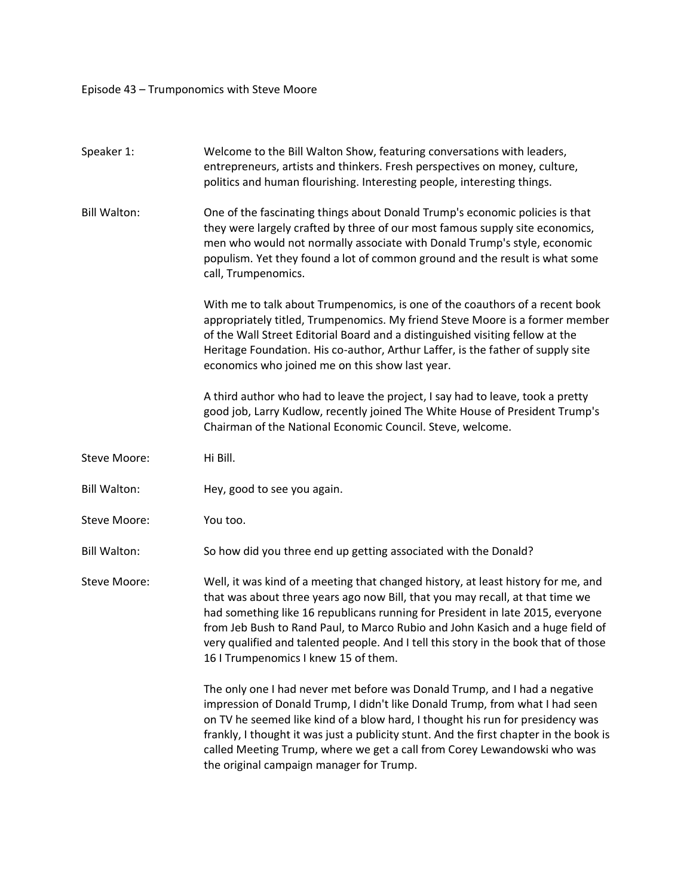Episode 43 – Trumponomics with Steve Moore

| Speaker 1:          | Welcome to the Bill Walton Show, featuring conversations with leaders,<br>entrepreneurs, artists and thinkers. Fresh perspectives on money, culture,<br>politics and human flourishing. Interesting people, interesting things.                                                                                                                                                                                                                                       |
|---------------------|-----------------------------------------------------------------------------------------------------------------------------------------------------------------------------------------------------------------------------------------------------------------------------------------------------------------------------------------------------------------------------------------------------------------------------------------------------------------------|
| <b>Bill Walton:</b> | One of the fascinating things about Donald Trump's economic policies is that<br>they were largely crafted by three of our most famous supply site economics,<br>men who would not normally associate with Donald Trump's style, economic<br>populism. Yet they found a lot of common ground and the result is what some<br>call, Trumpenomics.                                                                                                                        |
|                     | With me to talk about Trumpenomics, is one of the coauthors of a recent book<br>appropriately titled, Trumpenomics. My friend Steve Moore is a former member<br>of the Wall Street Editorial Board and a distinguished visiting fellow at the<br>Heritage Foundation. His co-author, Arthur Laffer, is the father of supply site<br>economics who joined me on this show last year.                                                                                   |
|                     | A third author who had to leave the project, I say had to leave, took a pretty<br>good job, Larry Kudlow, recently joined The White House of President Trump's<br>Chairman of the National Economic Council. Steve, welcome.                                                                                                                                                                                                                                          |
| Steve Moore:        | Hi Bill.                                                                                                                                                                                                                                                                                                                                                                                                                                                              |
| <b>Bill Walton:</b> | Hey, good to see you again.                                                                                                                                                                                                                                                                                                                                                                                                                                           |
| Steve Moore:        | You too.                                                                                                                                                                                                                                                                                                                                                                                                                                                              |
| <b>Bill Walton:</b> | So how did you three end up getting associated with the Donald?                                                                                                                                                                                                                                                                                                                                                                                                       |
| Steve Moore:        | Well, it was kind of a meeting that changed history, at least history for me, and<br>that was about three years ago now Bill, that you may recall, at that time we<br>had something like 16 republicans running for President in late 2015, everyone<br>from Jeb Bush to Rand Paul, to Marco Rubio and John Kasich and a huge field of<br>very qualified and talented people. And I tell this story in the book that of those<br>16 I Trumpenomics I knew 15 of them. |
|                     | The only one I had never met before was Donald Trump, and I had a negative<br>impression of Donald Trump, I didn't like Donald Trump, from what I had seen<br>on TV he seemed like kind of a blow hard, I thought his run for presidency was<br>frankly, I thought it was just a publicity stunt. And the first chapter in the book is<br>called Meeting Trump, where we get a call from Corey Lewandowski who was<br>the original campaign manager for Trump.        |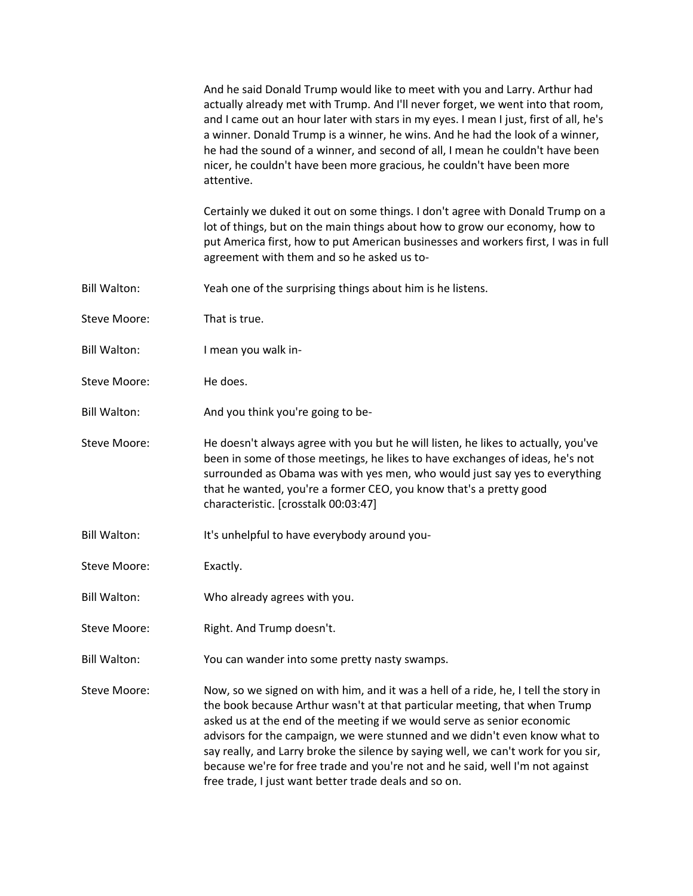|                     | And he said Donald Trump would like to meet with you and Larry. Arthur had<br>actually already met with Trump. And I'll never forget, we went into that room,<br>and I came out an hour later with stars in my eyes. I mean I just, first of all, he's<br>a winner. Donald Trump is a winner, he wins. And he had the look of a winner,<br>he had the sound of a winner, and second of all, I mean he couldn't have been<br>nicer, he couldn't have been more gracious, he couldn't have been more<br>attentive.                                           |
|---------------------|------------------------------------------------------------------------------------------------------------------------------------------------------------------------------------------------------------------------------------------------------------------------------------------------------------------------------------------------------------------------------------------------------------------------------------------------------------------------------------------------------------------------------------------------------------|
|                     | Certainly we duked it out on some things. I don't agree with Donald Trump on a<br>lot of things, but on the main things about how to grow our economy, how to<br>put America first, how to put American businesses and workers first, I was in full<br>agreement with them and so he asked us to-                                                                                                                                                                                                                                                          |
| <b>Bill Walton:</b> | Yeah one of the surprising things about him is he listens.                                                                                                                                                                                                                                                                                                                                                                                                                                                                                                 |
| Steve Moore:        | That is true.                                                                                                                                                                                                                                                                                                                                                                                                                                                                                                                                              |
| <b>Bill Walton:</b> | I mean you walk in-                                                                                                                                                                                                                                                                                                                                                                                                                                                                                                                                        |
| Steve Moore:        | He does.                                                                                                                                                                                                                                                                                                                                                                                                                                                                                                                                                   |
| <b>Bill Walton:</b> | And you think you're going to be-                                                                                                                                                                                                                                                                                                                                                                                                                                                                                                                          |
| Steve Moore:        | He doesn't always agree with you but he will listen, he likes to actually, you've<br>been in some of those meetings, he likes to have exchanges of ideas, he's not<br>surrounded as Obama was with yes men, who would just say yes to everything<br>that he wanted, you're a former CEO, you know that's a pretty good<br>characteristic. [crosstalk 00:03:47]                                                                                                                                                                                             |
| <b>Bill Walton:</b> | It's unhelpful to have everybody around you-                                                                                                                                                                                                                                                                                                                                                                                                                                                                                                               |
| Steve Moore:        | Exactly.                                                                                                                                                                                                                                                                                                                                                                                                                                                                                                                                                   |
| <b>Bill Walton:</b> | Who already agrees with you.                                                                                                                                                                                                                                                                                                                                                                                                                                                                                                                               |
| Steve Moore:        | Right. And Trump doesn't.                                                                                                                                                                                                                                                                                                                                                                                                                                                                                                                                  |
| <b>Bill Walton:</b> | You can wander into some pretty nasty swamps.                                                                                                                                                                                                                                                                                                                                                                                                                                                                                                              |
| Steve Moore:        | Now, so we signed on with him, and it was a hell of a ride, he, I tell the story in<br>the book because Arthur wasn't at that particular meeting, that when Trump<br>asked us at the end of the meeting if we would serve as senior economic<br>advisors for the campaign, we were stunned and we didn't even know what to<br>say really, and Larry broke the silence by saying well, we can't work for you sir,<br>because we're for free trade and you're not and he said, well I'm not against<br>free trade, I just want better trade deals and so on. |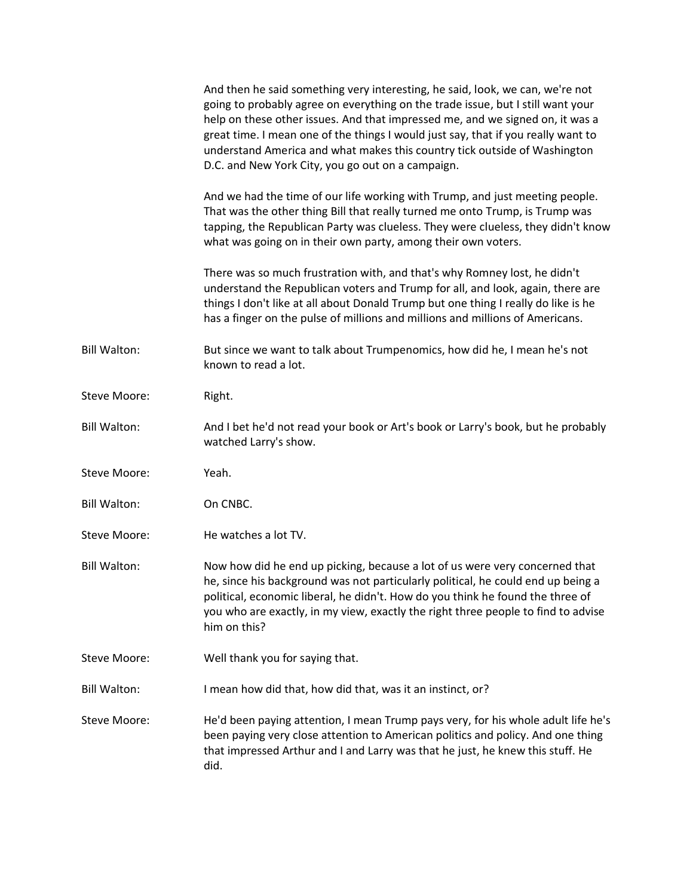|                     | And then he said something very interesting, he said, look, we can, we're not<br>going to probably agree on everything on the trade issue, but I still want your<br>help on these other issues. And that impressed me, and we signed on, it was a<br>great time. I mean one of the things I would just say, that if you really want to<br>understand America and what makes this country tick outside of Washington<br>D.C. and New York City, you go out on a campaign. |
|---------------------|--------------------------------------------------------------------------------------------------------------------------------------------------------------------------------------------------------------------------------------------------------------------------------------------------------------------------------------------------------------------------------------------------------------------------------------------------------------------------|
|                     | And we had the time of our life working with Trump, and just meeting people.<br>That was the other thing Bill that really turned me onto Trump, is Trump was<br>tapping, the Republican Party was clueless. They were clueless, they didn't know<br>what was going on in their own party, among their own voters.                                                                                                                                                        |
|                     | There was so much frustration with, and that's why Romney lost, he didn't<br>understand the Republican voters and Trump for all, and look, again, there are<br>things I don't like at all about Donald Trump but one thing I really do like is he<br>has a finger on the pulse of millions and millions and millions of Americans.                                                                                                                                       |
| <b>Bill Walton:</b> | But since we want to talk about Trumpenomics, how did he, I mean he's not<br>known to read a lot.                                                                                                                                                                                                                                                                                                                                                                        |
| Steve Moore:        | Right.                                                                                                                                                                                                                                                                                                                                                                                                                                                                   |
| <b>Bill Walton:</b> | And I bet he'd not read your book or Art's book or Larry's book, but he probably<br>watched Larry's show.                                                                                                                                                                                                                                                                                                                                                                |
| <b>Steve Moore:</b> | Yeah.                                                                                                                                                                                                                                                                                                                                                                                                                                                                    |
| <b>Bill Walton:</b> | On CNBC.                                                                                                                                                                                                                                                                                                                                                                                                                                                                 |
| <b>Steve Moore:</b> | He watches a lot TV.                                                                                                                                                                                                                                                                                                                                                                                                                                                     |
| <b>Bill Walton:</b> | Now how did he end up picking, because a lot of us were very concerned that<br>he, since his background was not particularly political, he could end up being a<br>political, economic liberal, he didn't. How do you think he found the three of<br>you who are exactly, in my view, exactly the right three people to find to advise<br>him on this?                                                                                                                   |
| <b>Steve Moore:</b> | Well thank you for saying that.                                                                                                                                                                                                                                                                                                                                                                                                                                          |
| <b>Bill Walton:</b> | I mean how did that, how did that, was it an instinct, or?                                                                                                                                                                                                                                                                                                                                                                                                               |
| <b>Steve Moore:</b> | He'd been paying attention, I mean Trump pays very, for his whole adult life he's<br>been paying very close attention to American politics and policy. And one thing<br>that impressed Arthur and I and Larry was that he just, he knew this stuff. He<br>did.                                                                                                                                                                                                           |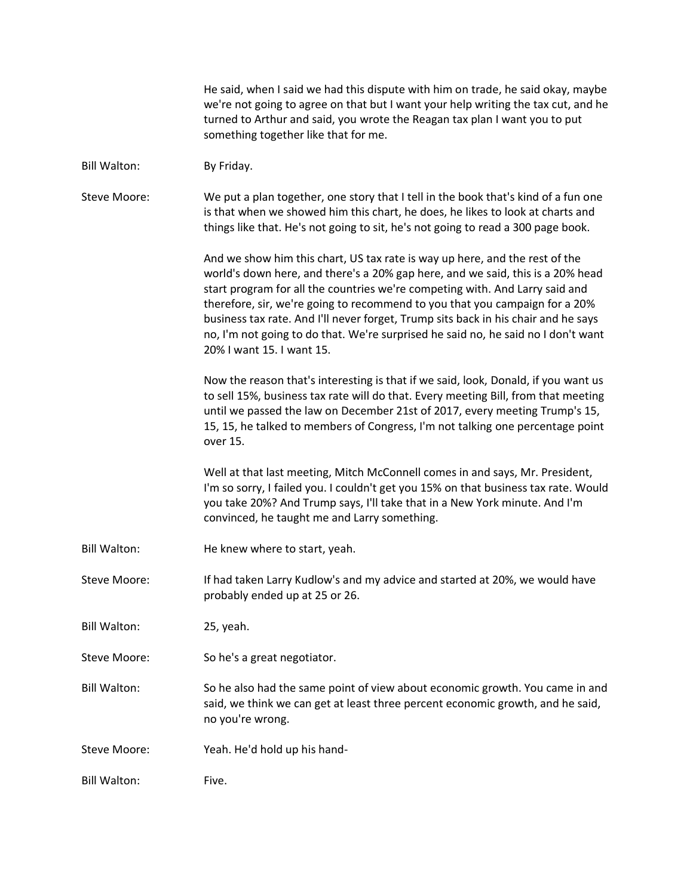|                     | He said, when I said we had this dispute with him on trade, he said okay, maybe<br>we're not going to agree on that but I want your help writing the tax cut, and he<br>turned to Arthur and said, you wrote the Reagan tax plan I want you to put<br>something together like that for me.                                                                                                                                                                                                                                           |
|---------------------|--------------------------------------------------------------------------------------------------------------------------------------------------------------------------------------------------------------------------------------------------------------------------------------------------------------------------------------------------------------------------------------------------------------------------------------------------------------------------------------------------------------------------------------|
| <b>Bill Walton:</b> | By Friday.                                                                                                                                                                                                                                                                                                                                                                                                                                                                                                                           |
| Steve Moore:        | We put a plan together, one story that I tell in the book that's kind of a fun one<br>is that when we showed him this chart, he does, he likes to look at charts and<br>things like that. He's not going to sit, he's not going to read a 300 page book.                                                                                                                                                                                                                                                                             |
|                     | And we show him this chart, US tax rate is way up here, and the rest of the<br>world's down here, and there's a 20% gap here, and we said, this is a 20% head<br>start program for all the countries we're competing with. And Larry said and<br>therefore, sir, we're going to recommend to you that you campaign for a 20%<br>business tax rate. And I'll never forget, Trump sits back in his chair and he says<br>no, I'm not going to do that. We're surprised he said no, he said no I don't want<br>20% I want 15. I want 15. |
|                     | Now the reason that's interesting is that if we said, look, Donald, if you want us<br>to sell 15%, business tax rate will do that. Every meeting Bill, from that meeting<br>until we passed the law on December 21st of 2017, every meeting Trump's 15,<br>15, 15, he talked to members of Congress, I'm not talking one percentage point<br>over 15.                                                                                                                                                                                |
|                     | Well at that last meeting, Mitch McConnell comes in and says, Mr. President,<br>I'm so sorry, I failed you. I couldn't get you 15% on that business tax rate. Would<br>you take 20%? And Trump says, I'll take that in a New York minute. And I'm<br>convinced, he taught me and Larry something.                                                                                                                                                                                                                                    |
| <b>Bill Walton:</b> | He knew where to start, yeah.                                                                                                                                                                                                                                                                                                                                                                                                                                                                                                        |
| <b>Steve Moore:</b> | If had taken Larry Kudlow's and my advice and started at 20%, we would have<br>probably ended up at 25 or 26.                                                                                                                                                                                                                                                                                                                                                                                                                        |
| <b>Bill Walton:</b> | 25, yeah.                                                                                                                                                                                                                                                                                                                                                                                                                                                                                                                            |
| Steve Moore:        | So he's a great negotiator.                                                                                                                                                                                                                                                                                                                                                                                                                                                                                                          |
| <b>Bill Walton:</b> | So he also had the same point of view about economic growth. You came in and<br>said, we think we can get at least three percent economic growth, and he said,<br>no you're wrong.                                                                                                                                                                                                                                                                                                                                                   |
| Steve Moore:        | Yeah. He'd hold up his hand-                                                                                                                                                                                                                                                                                                                                                                                                                                                                                                         |
| <b>Bill Walton:</b> | Five.                                                                                                                                                                                                                                                                                                                                                                                                                                                                                                                                |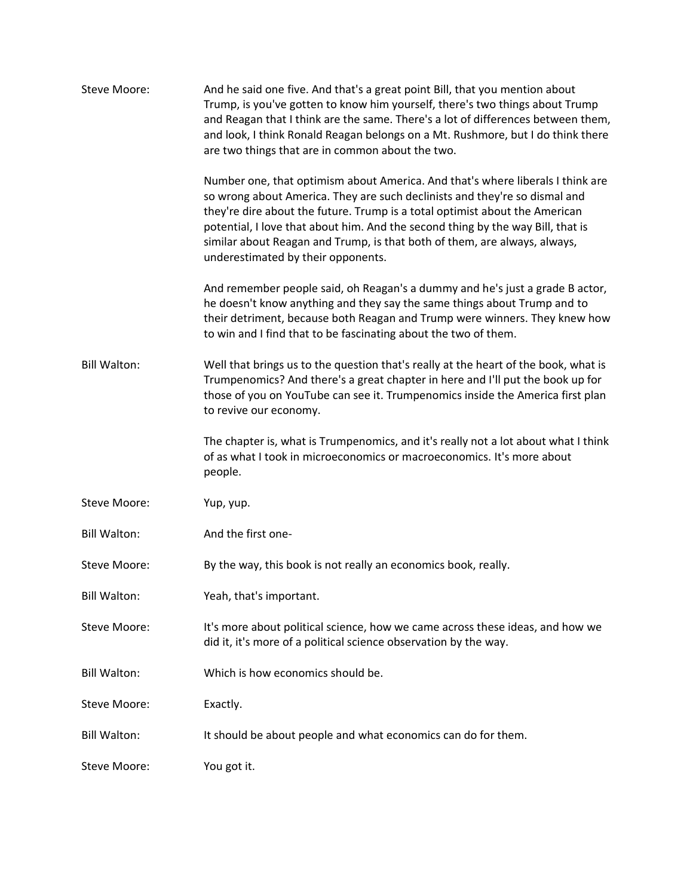| Steve Moore:        | And he said one five. And that's a great point Bill, that you mention about<br>Trump, is you've gotten to know him yourself, there's two things about Trump<br>and Reagan that I think are the same. There's a lot of differences between them,<br>and look, I think Ronald Reagan belongs on a Mt. Rushmore, but I do think there<br>are two things that are in common about the two.                                                            |
|---------------------|---------------------------------------------------------------------------------------------------------------------------------------------------------------------------------------------------------------------------------------------------------------------------------------------------------------------------------------------------------------------------------------------------------------------------------------------------|
|                     | Number one, that optimism about America. And that's where liberals I think are<br>so wrong about America. They are such declinists and they're so dismal and<br>they're dire about the future. Trump is a total optimist about the American<br>potential, I love that about him. And the second thing by the way Bill, that is<br>similar about Reagan and Trump, is that both of them, are always, always,<br>underestimated by their opponents. |
|                     | And remember people said, oh Reagan's a dummy and he's just a grade B actor,<br>he doesn't know anything and they say the same things about Trump and to<br>their detriment, because both Reagan and Trump were winners. They knew how<br>to win and I find that to be fascinating about the two of them.                                                                                                                                         |
| <b>Bill Walton:</b> | Well that brings us to the question that's really at the heart of the book, what is<br>Trumpenomics? And there's a great chapter in here and I'll put the book up for<br>those of you on YouTube can see it. Trumpenomics inside the America first plan<br>to revive our economy.                                                                                                                                                                 |
|                     | The chapter is, what is Trumpenomics, and it's really not a lot about what I think<br>of as what I took in microeconomics or macroeconomics. It's more about<br>people.                                                                                                                                                                                                                                                                           |
| Steve Moore:        | Yup, yup.                                                                                                                                                                                                                                                                                                                                                                                                                                         |
| <b>Bill Walton:</b> | And the first one-                                                                                                                                                                                                                                                                                                                                                                                                                                |
| Steve Moore:        | By the way, this book is not really an economics book, really.                                                                                                                                                                                                                                                                                                                                                                                    |
| <b>Bill Walton:</b> | Yeah, that's important.                                                                                                                                                                                                                                                                                                                                                                                                                           |
| Steve Moore:        | It's more about political science, how we came across these ideas, and how we<br>did it, it's more of a political science observation by the way.                                                                                                                                                                                                                                                                                                 |
| <b>Bill Walton:</b> | Which is how economics should be.                                                                                                                                                                                                                                                                                                                                                                                                                 |
| Steve Moore:        | Exactly.                                                                                                                                                                                                                                                                                                                                                                                                                                          |
| <b>Bill Walton:</b> | It should be about people and what economics can do for them.                                                                                                                                                                                                                                                                                                                                                                                     |
| Steve Moore:        | You got it.                                                                                                                                                                                                                                                                                                                                                                                                                                       |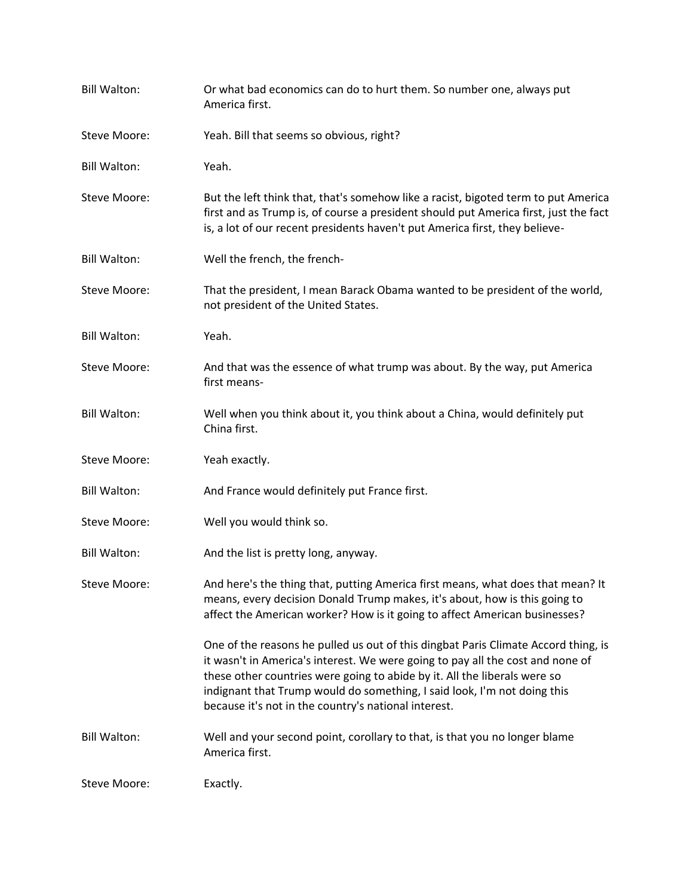| <b>Bill Walton:</b> | Or what bad economics can do to hurt them. So number one, always put<br>America first.                                                                                                                                                                                                                                                                                                |
|---------------------|---------------------------------------------------------------------------------------------------------------------------------------------------------------------------------------------------------------------------------------------------------------------------------------------------------------------------------------------------------------------------------------|
| Steve Moore:        | Yeah. Bill that seems so obvious, right?                                                                                                                                                                                                                                                                                                                                              |
| <b>Bill Walton:</b> | Yeah.                                                                                                                                                                                                                                                                                                                                                                                 |
| Steve Moore:        | But the left think that, that's somehow like a racist, bigoted term to put America<br>first and as Trump is, of course a president should put America first, just the fact<br>is, a lot of our recent presidents haven't put America first, they believe-                                                                                                                             |
| <b>Bill Walton:</b> | Well the french, the french-                                                                                                                                                                                                                                                                                                                                                          |
| Steve Moore:        | That the president, I mean Barack Obama wanted to be president of the world,<br>not president of the United States.                                                                                                                                                                                                                                                                   |
| <b>Bill Walton:</b> | Yeah.                                                                                                                                                                                                                                                                                                                                                                                 |
| Steve Moore:        | And that was the essence of what trump was about. By the way, put America<br>first means-                                                                                                                                                                                                                                                                                             |
| <b>Bill Walton:</b> | Well when you think about it, you think about a China, would definitely put<br>China first.                                                                                                                                                                                                                                                                                           |
| Steve Moore:        | Yeah exactly.                                                                                                                                                                                                                                                                                                                                                                         |
| <b>Bill Walton:</b> | And France would definitely put France first.                                                                                                                                                                                                                                                                                                                                         |
| Steve Moore:        | Well you would think so.                                                                                                                                                                                                                                                                                                                                                              |
| <b>Bill Walton:</b> | And the list is pretty long, anyway.                                                                                                                                                                                                                                                                                                                                                  |
| Steve Moore:        | And here's the thing that, putting America first means, what does that mean? It<br>means, every decision Donald Trump makes, it's about, how is this going to<br>affect the American worker? How is it going to affect American businesses?                                                                                                                                           |
|                     | One of the reasons he pulled us out of this dingbat Paris Climate Accord thing, is<br>it wasn't in America's interest. We were going to pay all the cost and none of<br>these other countries were going to abide by it. All the liberals were so<br>indignant that Trump would do something, I said look, I'm not doing this<br>because it's not in the country's national interest. |
| <b>Bill Walton:</b> | Well and your second point, corollary to that, is that you no longer blame<br>America first.                                                                                                                                                                                                                                                                                          |
| Steve Moore:        | Exactly.                                                                                                                                                                                                                                                                                                                                                                              |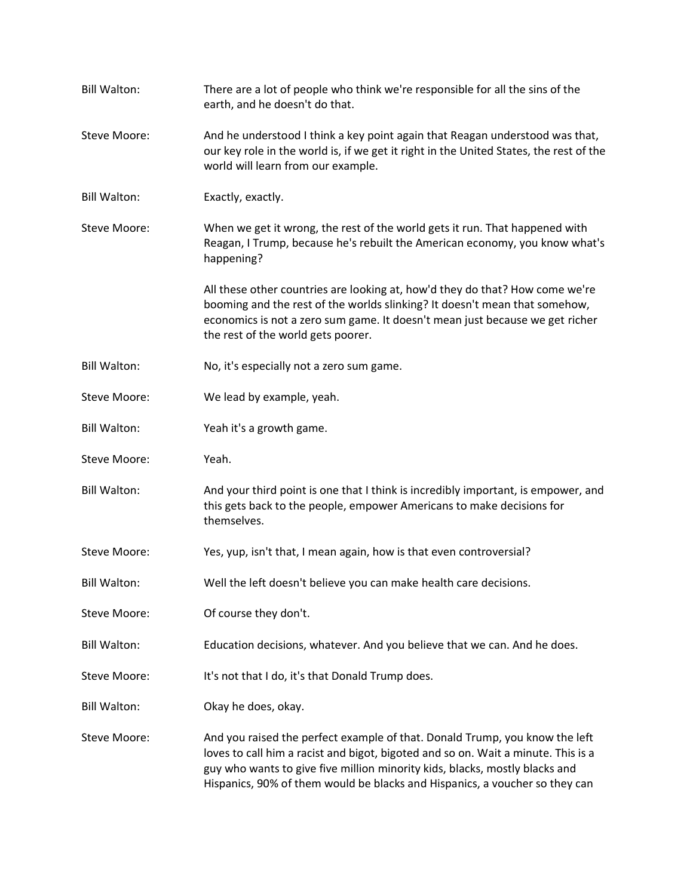| <b>Bill Walton:</b> | There are a lot of people who think we're responsible for all the sins of the<br>earth, and he doesn't do that.                                                                                                                                                                                                                |
|---------------------|--------------------------------------------------------------------------------------------------------------------------------------------------------------------------------------------------------------------------------------------------------------------------------------------------------------------------------|
| <b>Steve Moore:</b> | And he understood I think a key point again that Reagan understood was that,<br>our key role in the world is, if we get it right in the United States, the rest of the<br>world will learn from our example.                                                                                                                   |
| <b>Bill Walton:</b> | Exactly, exactly.                                                                                                                                                                                                                                                                                                              |
| <b>Steve Moore:</b> | When we get it wrong, the rest of the world gets it run. That happened with<br>Reagan, I Trump, because he's rebuilt the American economy, you know what's<br>happening?                                                                                                                                                       |
|                     | All these other countries are looking at, how'd they do that? How come we're<br>booming and the rest of the worlds slinking? It doesn't mean that somehow,<br>economics is not a zero sum game. It doesn't mean just because we get richer<br>the rest of the world gets poorer.                                               |
| <b>Bill Walton:</b> | No, it's especially not a zero sum game.                                                                                                                                                                                                                                                                                       |
| Steve Moore:        | We lead by example, yeah.                                                                                                                                                                                                                                                                                                      |
| <b>Bill Walton:</b> | Yeah it's a growth game.                                                                                                                                                                                                                                                                                                       |
| Steve Moore:        | Yeah.                                                                                                                                                                                                                                                                                                                          |
| <b>Bill Walton:</b> | And your third point is one that I think is incredibly important, is empower, and<br>this gets back to the people, empower Americans to make decisions for<br>themselves.                                                                                                                                                      |
| Steve Moore:        | Yes, yup, isn't that, I mean again, how is that even controversial?                                                                                                                                                                                                                                                            |
| <b>Bill Walton:</b> | Well the left doesn't believe you can make health care decisions.                                                                                                                                                                                                                                                              |
| <b>Steve Moore:</b> | Of course they don't.                                                                                                                                                                                                                                                                                                          |
| <b>Bill Walton:</b> | Education decisions, whatever. And you believe that we can. And he does.                                                                                                                                                                                                                                                       |
| <b>Steve Moore:</b> | It's not that I do, it's that Donald Trump does.                                                                                                                                                                                                                                                                               |
| <b>Bill Walton:</b> | Okay he does, okay.                                                                                                                                                                                                                                                                                                            |
| <b>Steve Moore:</b> | And you raised the perfect example of that. Donald Trump, you know the left<br>loves to call him a racist and bigot, bigoted and so on. Wait a minute. This is a<br>guy who wants to give five million minority kids, blacks, mostly blacks and<br>Hispanics, 90% of them would be blacks and Hispanics, a voucher so they can |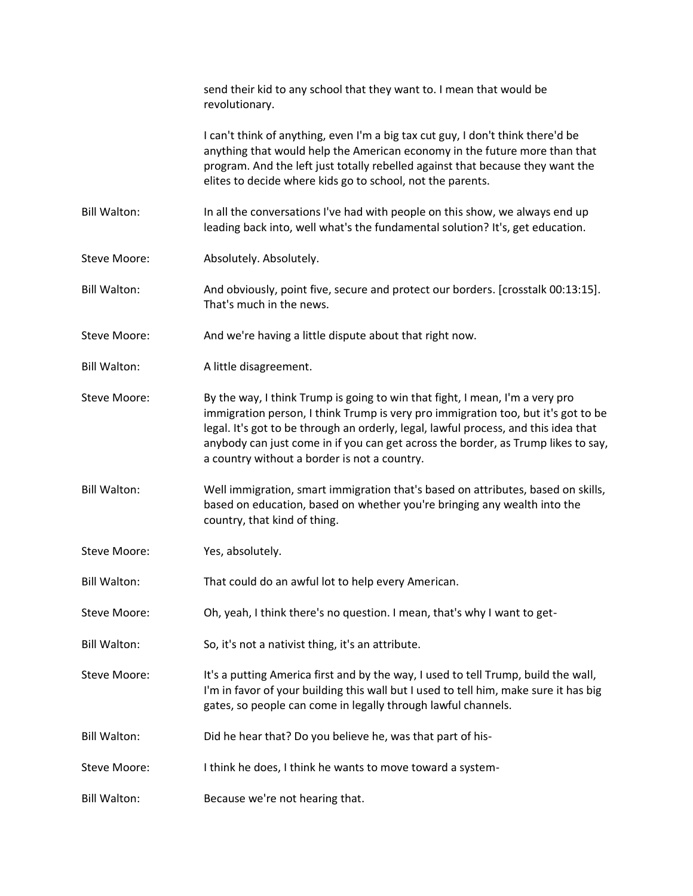|                     | send their kid to any school that they want to. I mean that would be<br>revolutionary.                                                                                                                                                                                                                                                                                                        |
|---------------------|-----------------------------------------------------------------------------------------------------------------------------------------------------------------------------------------------------------------------------------------------------------------------------------------------------------------------------------------------------------------------------------------------|
|                     | I can't think of anything, even I'm a big tax cut guy, I don't think there'd be<br>anything that would help the American economy in the future more than that<br>program. And the left just totally rebelled against that because they want the<br>elites to decide where kids go to school, not the parents.                                                                                 |
| <b>Bill Walton:</b> | In all the conversations I've had with people on this show, we always end up<br>leading back into, well what's the fundamental solution? It's, get education.                                                                                                                                                                                                                                 |
| Steve Moore:        | Absolutely. Absolutely.                                                                                                                                                                                                                                                                                                                                                                       |
| <b>Bill Walton:</b> | And obviously, point five, secure and protect our borders. [crosstalk 00:13:15].<br>That's much in the news.                                                                                                                                                                                                                                                                                  |
| Steve Moore:        | And we're having a little dispute about that right now.                                                                                                                                                                                                                                                                                                                                       |
| <b>Bill Walton:</b> | A little disagreement.                                                                                                                                                                                                                                                                                                                                                                        |
| <b>Steve Moore:</b> | By the way, I think Trump is going to win that fight, I mean, I'm a very pro<br>immigration person, I think Trump is very pro immigration too, but it's got to be<br>legal. It's got to be through an orderly, legal, lawful process, and this idea that<br>anybody can just come in if you can get across the border, as Trump likes to say,<br>a country without a border is not a country. |
| <b>Bill Walton:</b> | Well immigration, smart immigration that's based on attributes, based on skills,<br>based on education, based on whether you're bringing any wealth into the<br>country, that kind of thing.                                                                                                                                                                                                  |
| <b>Steve Moore:</b> | Yes, absolutely.                                                                                                                                                                                                                                                                                                                                                                              |
| <b>Bill Walton:</b> | That could do an awful lot to help every American.                                                                                                                                                                                                                                                                                                                                            |
| <b>Steve Moore:</b> | Oh, yeah, I think there's no question. I mean, that's why I want to get-                                                                                                                                                                                                                                                                                                                      |
| <b>Bill Walton:</b> | So, it's not a nativist thing, it's an attribute.                                                                                                                                                                                                                                                                                                                                             |
| Steve Moore:        | It's a putting America first and by the way, I used to tell Trump, build the wall,<br>I'm in favor of your building this wall but I used to tell him, make sure it has big<br>gates, so people can come in legally through lawful channels.                                                                                                                                                   |
| <b>Bill Walton:</b> | Did he hear that? Do you believe he, was that part of his-                                                                                                                                                                                                                                                                                                                                    |
| Steve Moore:        | I think he does, I think he wants to move toward a system-                                                                                                                                                                                                                                                                                                                                    |
| <b>Bill Walton:</b> | Because we're not hearing that.                                                                                                                                                                                                                                                                                                                                                               |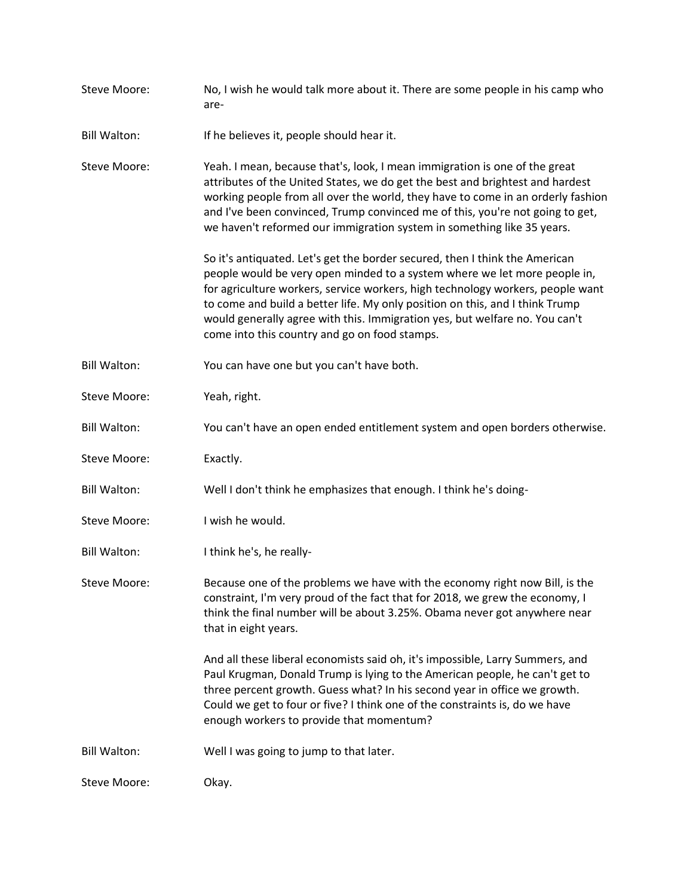| Steve Moore:        | No, I wish he would talk more about it. There are some people in his camp who<br>are-                                                                                                                                                                                                                                                                                                                                                                      |
|---------------------|------------------------------------------------------------------------------------------------------------------------------------------------------------------------------------------------------------------------------------------------------------------------------------------------------------------------------------------------------------------------------------------------------------------------------------------------------------|
| <b>Bill Walton:</b> | If he believes it, people should hear it.                                                                                                                                                                                                                                                                                                                                                                                                                  |
| Steve Moore:        | Yeah. I mean, because that's, look, I mean immigration is one of the great<br>attributes of the United States, we do get the best and brightest and hardest<br>working people from all over the world, they have to come in an orderly fashion<br>and I've been convinced, Trump convinced me of this, you're not going to get,<br>we haven't reformed our immigration system in something like 35 years.                                                  |
|                     | So it's antiquated. Let's get the border secured, then I think the American<br>people would be very open minded to a system where we let more people in,<br>for agriculture workers, service workers, high technology workers, people want<br>to come and build a better life. My only position on this, and I think Trump<br>would generally agree with this. Immigration yes, but welfare no. You can't<br>come into this country and go on food stamps. |
| <b>Bill Walton:</b> | You can have one but you can't have both.                                                                                                                                                                                                                                                                                                                                                                                                                  |
| Steve Moore:        | Yeah, right.                                                                                                                                                                                                                                                                                                                                                                                                                                               |
| <b>Bill Walton:</b> | You can't have an open ended entitlement system and open borders otherwise.                                                                                                                                                                                                                                                                                                                                                                                |
| Steve Moore:        | Exactly.                                                                                                                                                                                                                                                                                                                                                                                                                                                   |
| <b>Bill Walton:</b> | Well I don't think he emphasizes that enough. I think he's doing-                                                                                                                                                                                                                                                                                                                                                                                          |
| Steve Moore:        | I wish he would.                                                                                                                                                                                                                                                                                                                                                                                                                                           |
| <b>Bill Walton:</b> | I think he's, he really-                                                                                                                                                                                                                                                                                                                                                                                                                                   |
| Steve Moore:        | Because one of the problems we have with the economy right now Bill, is the<br>constraint, I'm very proud of the fact that for 2018, we grew the economy, I<br>think the final number will be about 3.25%. Obama never got anywhere near<br>that in eight years.                                                                                                                                                                                           |
|                     | And all these liberal economists said oh, it's impossible, Larry Summers, and<br>Paul Krugman, Donald Trump is lying to the American people, he can't get to<br>three percent growth. Guess what? In his second year in office we growth.<br>Could we get to four or five? I think one of the constraints is, do we have<br>enough workers to provide that momentum?                                                                                       |
| <b>Bill Walton:</b> | Well I was going to jump to that later.                                                                                                                                                                                                                                                                                                                                                                                                                    |
| Steve Moore:        | Okay.                                                                                                                                                                                                                                                                                                                                                                                                                                                      |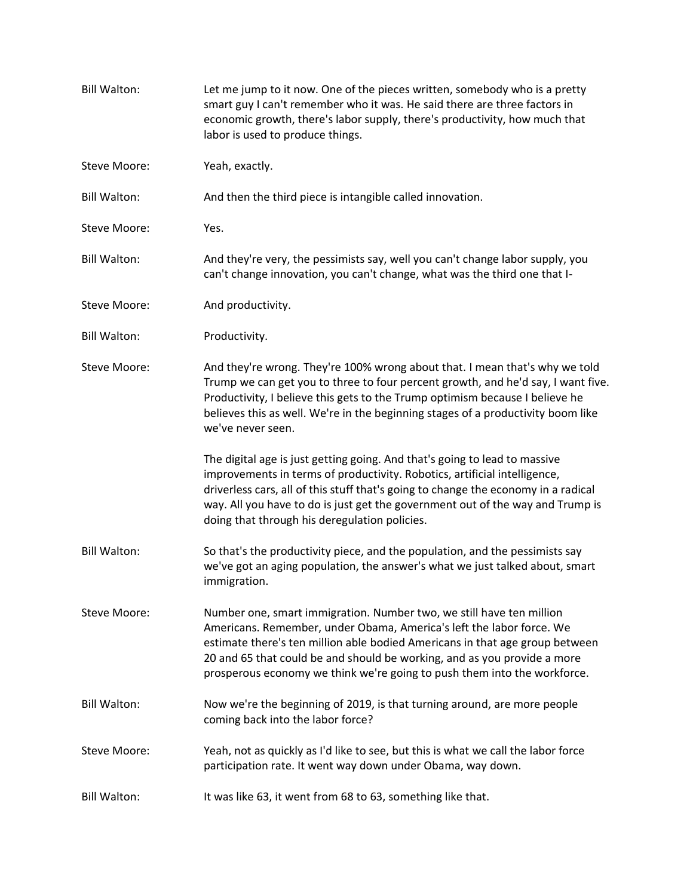| <b>Bill Walton:</b> | Let me jump to it now. One of the pieces written, somebody who is a pretty<br>smart guy I can't remember who it was. He said there are three factors in<br>economic growth, there's labor supply, there's productivity, how much that<br>labor is used to produce things.                                                                                                            |
|---------------------|--------------------------------------------------------------------------------------------------------------------------------------------------------------------------------------------------------------------------------------------------------------------------------------------------------------------------------------------------------------------------------------|
| Steve Moore:        | Yeah, exactly.                                                                                                                                                                                                                                                                                                                                                                       |
| <b>Bill Walton:</b> | And then the third piece is intangible called innovation.                                                                                                                                                                                                                                                                                                                            |
| Steve Moore:        | Yes.                                                                                                                                                                                                                                                                                                                                                                                 |
| <b>Bill Walton:</b> | And they're very, the pessimists say, well you can't change labor supply, you<br>can't change innovation, you can't change, what was the third one that I-                                                                                                                                                                                                                           |
| Steve Moore:        | And productivity.                                                                                                                                                                                                                                                                                                                                                                    |
| <b>Bill Walton:</b> | Productivity.                                                                                                                                                                                                                                                                                                                                                                        |
| Steve Moore:        | And they're wrong. They're 100% wrong about that. I mean that's why we told<br>Trump we can get you to three to four percent growth, and he'd say, I want five.<br>Productivity, I believe this gets to the Trump optimism because I believe he<br>believes this as well. We're in the beginning stages of a productivity boom like<br>we've never seen.                             |
|                     | The digital age is just getting going. And that's going to lead to massive<br>improvements in terms of productivity. Robotics, artificial intelligence,<br>driverless cars, all of this stuff that's going to change the economy in a radical<br>way. All you have to do is just get the government out of the way and Trump is<br>doing that through his deregulation policies.     |
| <b>Bill Walton:</b> | So that's the productivity piece, and the population, and the pessimists say<br>we've got an aging population, the answer's what we just talked about, smart<br>immigration.                                                                                                                                                                                                         |
| Steve Moore:        | Number one, smart immigration. Number two, we still have ten million<br>Americans. Remember, under Obama, America's left the labor force. We<br>estimate there's ten million able bodied Americans in that age group between<br>20 and 65 that could be and should be working, and as you provide a more<br>prosperous economy we think we're going to push them into the workforce. |
| <b>Bill Walton:</b> | Now we're the beginning of 2019, is that turning around, are more people<br>coming back into the labor force?                                                                                                                                                                                                                                                                        |
| Steve Moore:        | Yeah, not as quickly as I'd like to see, but this is what we call the labor force<br>participation rate. It went way down under Obama, way down.                                                                                                                                                                                                                                     |
| <b>Bill Walton:</b> | It was like 63, it went from 68 to 63, something like that.                                                                                                                                                                                                                                                                                                                          |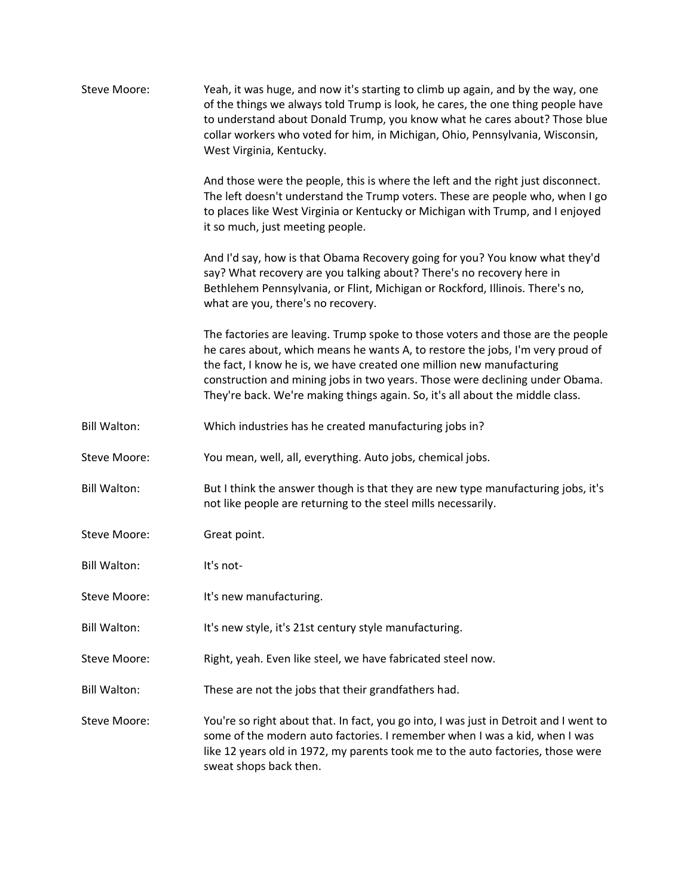| Steve Moore:        | Yeah, it was huge, and now it's starting to climb up again, and by the way, one<br>of the things we always told Trump is look, he cares, the one thing people have<br>to understand about Donald Trump, you know what he cares about? Those blue<br>collar workers who voted for him, in Michigan, Ohio, Pennsylvania, Wisconsin,<br>West Virginia, Kentucky.                                               |
|---------------------|-------------------------------------------------------------------------------------------------------------------------------------------------------------------------------------------------------------------------------------------------------------------------------------------------------------------------------------------------------------------------------------------------------------|
|                     | And those were the people, this is where the left and the right just disconnect.<br>The left doesn't understand the Trump voters. These are people who, when I go<br>to places like West Virginia or Kentucky or Michigan with Trump, and I enjoyed<br>it so much, just meeting people.                                                                                                                     |
|                     | And I'd say, how is that Obama Recovery going for you? You know what they'd<br>say? What recovery are you talking about? There's no recovery here in<br>Bethlehem Pennsylvania, or Flint, Michigan or Rockford, Illinois. There's no,<br>what are you, there's no recovery.                                                                                                                                 |
|                     | The factories are leaving. Trump spoke to those voters and those are the people<br>he cares about, which means he wants A, to restore the jobs, I'm very proud of<br>the fact, I know he is, we have created one million new manufacturing<br>construction and mining jobs in two years. Those were declining under Obama.<br>They're back. We're making things again. So, it's all about the middle class. |
| <b>Bill Walton:</b> | Which industries has he created manufacturing jobs in?                                                                                                                                                                                                                                                                                                                                                      |
| Steve Moore:        | You mean, well, all, everything. Auto jobs, chemical jobs.                                                                                                                                                                                                                                                                                                                                                  |
| <b>Bill Walton:</b> | But I think the answer though is that they are new type manufacturing jobs, it's<br>not like people are returning to the steel mills necessarily.                                                                                                                                                                                                                                                           |
| Steve Moore:        | Great point.                                                                                                                                                                                                                                                                                                                                                                                                |
| <b>Bill Walton:</b> | It's not-                                                                                                                                                                                                                                                                                                                                                                                                   |
| <b>Steve Moore:</b> | It's new manufacturing.                                                                                                                                                                                                                                                                                                                                                                                     |
| <b>Bill Walton:</b> | It's new style, it's 21st century style manufacturing.                                                                                                                                                                                                                                                                                                                                                      |
| Steve Moore:        | Right, yeah. Even like steel, we have fabricated steel now.                                                                                                                                                                                                                                                                                                                                                 |
| <b>Bill Walton:</b> | These are not the jobs that their grandfathers had.                                                                                                                                                                                                                                                                                                                                                         |
| Steve Moore:        | You're so right about that. In fact, you go into, I was just in Detroit and I went to<br>some of the modern auto factories. I remember when I was a kid, when I was<br>like 12 years old in 1972, my parents took me to the auto factories, those were<br>sweat shops back then.                                                                                                                            |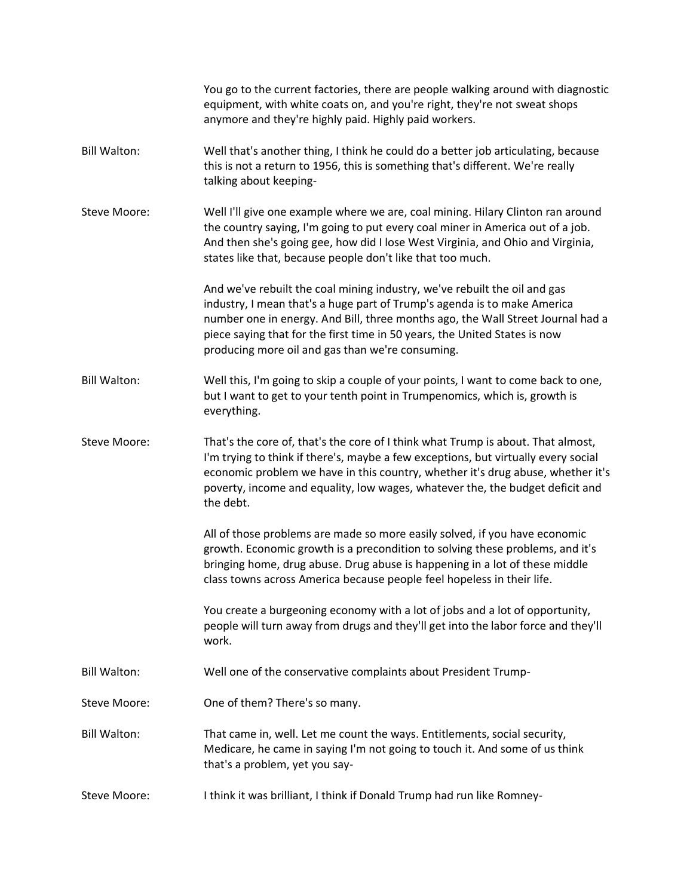|                     | You go to the current factories, there are people walking around with diagnostic<br>equipment, with white coats on, and you're right, they're not sweat shops<br>anymore and they're highly paid. Highly paid workers.                                                                                                                                                     |
|---------------------|----------------------------------------------------------------------------------------------------------------------------------------------------------------------------------------------------------------------------------------------------------------------------------------------------------------------------------------------------------------------------|
| <b>Bill Walton:</b> | Well that's another thing, I think he could do a better job articulating, because<br>this is not a return to 1956, this is something that's different. We're really<br>talking about keeping-                                                                                                                                                                              |
| Steve Moore:        | Well I'll give one example where we are, coal mining. Hilary Clinton ran around<br>the country saying, I'm going to put every coal miner in America out of a job.<br>And then she's going gee, how did I lose West Virginia, and Ohio and Virginia,<br>states like that, because people don't like that too much.                                                          |
|                     | And we've rebuilt the coal mining industry, we've rebuilt the oil and gas<br>industry, I mean that's a huge part of Trump's agenda is to make America<br>number one in energy. And Bill, three months ago, the Wall Street Journal had a<br>piece saying that for the first time in 50 years, the United States is now<br>producing more oil and gas than we're consuming. |
| <b>Bill Walton:</b> | Well this, I'm going to skip a couple of your points, I want to come back to one,<br>but I want to get to your tenth point in Trumpenomics, which is, growth is<br>everything.                                                                                                                                                                                             |
| Steve Moore:        | That's the core of, that's the core of I think what Trump is about. That almost,<br>I'm trying to think if there's, maybe a few exceptions, but virtually every social<br>economic problem we have in this country, whether it's drug abuse, whether it's<br>poverty, income and equality, low wages, whatever the, the budget deficit and<br>the debt.                    |
|                     | All of those problems are made so more easily solved, if you have economic<br>growth. Economic growth is a precondition to solving these problems, and it's<br>bringing home, drug abuse. Drug abuse is happening in a lot of these middle<br>class towns across America because people feel hopeless in their life.                                                       |
|                     | You create a burgeoning economy with a lot of jobs and a lot of opportunity,<br>people will turn away from drugs and they'll get into the labor force and they'll<br>work.                                                                                                                                                                                                 |
| <b>Bill Walton:</b> | Well one of the conservative complaints about President Trump-                                                                                                                                                                                                                                                                                                             |
| Steve Moore:        | One of them? There's so many.                                                                                                                                                                                                                                                                                                                                              |
| <b>Bill Walton:</b> | That came in, well. Let me count the ways. Entitlements, social security,<br>Medicare, he came in saying I'm not going to touch it. And some of us think<br>that's a problem, yet you say-                                                                                                                                                                                 |
| Steve Moore:        | I think it was brilliant, I think if Donald Trump had run like Romney-                                                                                                                                                                                                                                                                                                     |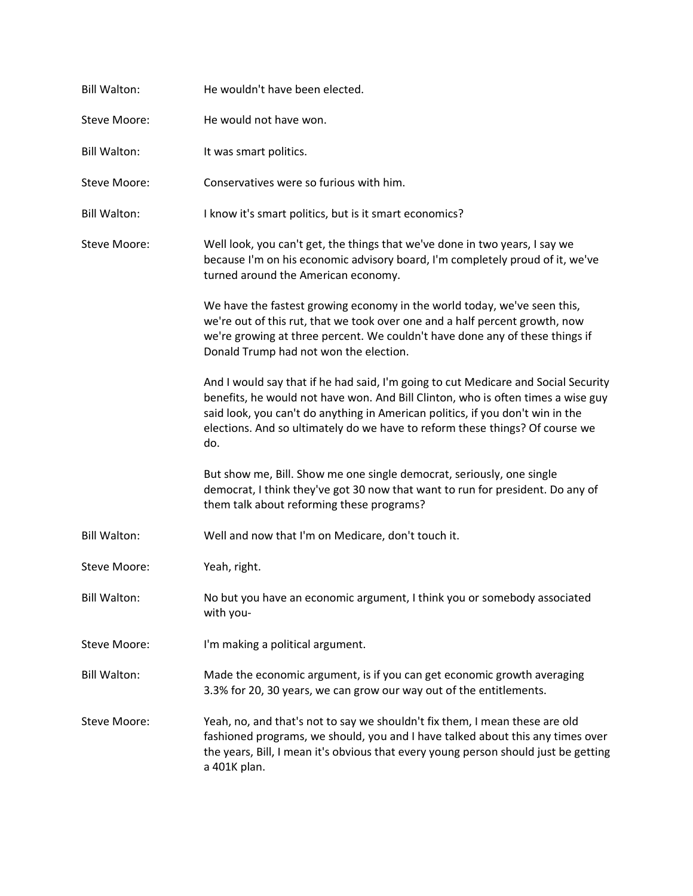| <b>Bill Walton:</b> | He wouldn't have been elected.                                                                                                                                                                                                                                                                                                                  |
|---------------------|-------------------------------------------------------------------------------------------------------------------------------------------------------------------------------------------------------------------------------------------------------------------------------------------------------------------------------------------------|
| Steve Moore:        | He would not have won.                                                                                                                                                                                                                                                                                                                          |
| <b>Bill Walton:</b> | It was smart politics.                                                                                                                                                                                                                                                                                                                          |
| Steve Moore:        | Conservatives were so furious with him.                                                                                                                                                                                                                                                                                                         |
| <b>Bill Walton:</b> | I know it's smart politics, but is it smart economics?                                                                                                                                                                                                                                                                                          |
| Steve Moore:        | Well look, you can't get, the things that we've done in two years, I say we<br>because I'm on his economic advisory board, I'm completely proud of it, we've<br>turned around the American economy.                                                                                                                                             |
|                     | We have the fastest growing economy in the world today, we've seen this,<br>we're out of this rut, that we took over one and a half percent growth, now<br>we're growing at three percent. We couldn't have done any of these things if<br>Donald Trump had not won the election.                                                               |
|                     | And I would say that if he had said, I'm going to cut Medicare and Social Security<br>benefits, he would not have won. And Bill Clinton, who is often times a wise guy<br>said look, you can't do anything in American politics, if you don't win in the<br>elections. And so ultimately do we have to reform these things? Of course we<br>do. |
|                     | But show me, Bill. Show me one single democrat, seriously, one single<br>democrat, I think they've got 30 now that want to run for president. Do any of<br>them talk about reforming these programs?                                                                                                                                            |
| <b>Bill Walton:</b> | Well and now that I'm on Medicare, don't touch it.                                                                                                                                                                                                                                                                                              |
| Steve Moore:        | Yeah, right.                                                                                                                                                                                                                                                                                                                                    |
| <b>Bill Walton:</b> | No but you have an economic argument, I think you or somebody associated<br>with you-                                                                                                                                                                                                                                                           |
| Steve Moore:        | I'm making a political argument.                                                                                                                                                                                                                                                                                                                |
| <b>Bill Walton:</b> | Made the economic argument, is if you can get economic growth averaging<br>3.3% for 20, 30 years, we can grow our way out of the entitlements.                                                                                                                                                                                                  |
| Steve Moore:        | Yeah, no, and that's not to say we shouldn't fix them, I mean these are old<br>fashioned programs, we should, you and I have talked about this any times over<br>the years, Bill, I mean it's obvious that every young person should just be getting<br>a 401K plan.                                                                            |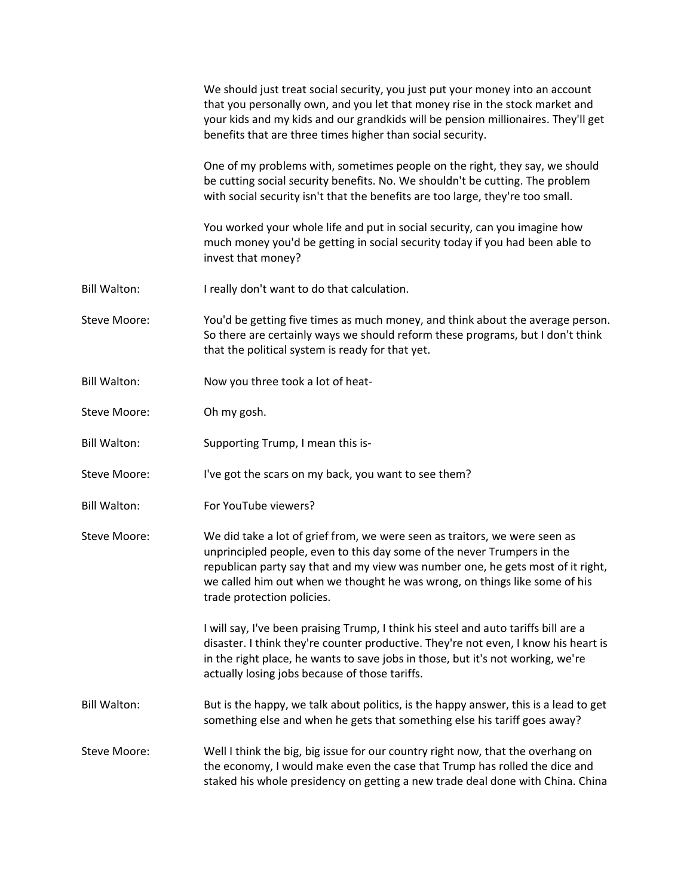|                     | We should just treat social security, you just put your money into an account<br>that you personally own, and you let that money rise in the stock market and<br>your kids and my kids and our grandkids will be pension millionaires. They'll get<br>benefits that are three times higher than social security.                                     |
|---------------------|------------------------------------------------------------------------------------------------------------------------------------------------------------------------------------------------------------------------------------------------------------------------------------------------------------------------------------------------------|
|                     | One of my problems with, sometimes people on the right, they say, we should<br>be cutting social security benefits. No. We shouldn't be cutting. The problem<br>with social security isn't that the benefits are too large, they're too small.                                                                                                       |
|                     | You worked your whole life and put in social security, can you imagine how<br>much money you'd be getting in social security today if you had been able to<br>invest that money?                                                                                                                                                                     |
| <b>Bill Walton:</b> | I really don't want to do that calculation.                                                                                                                                                                                                                                                                                                          |
| Steve Moore:        | You'd be getting five times as much money, and think about the average person.<br>So there are certainly ways we should reform these programs, but I don't think<br>that the political system is ready for that yet.                                                                                                                                 |
| <b>Bill Walton:</b> | Now you three took a lot of heat-                                                                                                                                                                                                                                                                                                                    |
| Steve Moore:        | Oh my gosh.                                                                                                                                                                                                                                                                                                                                          |
| <b>Bill Walton:</b> | Supporting Trump, I mean this is-                                                                                                                                                                                                                                                                                                                    |
| Steve Moore:        | I've got the scars on my back, you want to see them?                                                                                                                                                                                                                                                                                                 |
| <b>Bill Walton:</b> | For YouTube viewers?                                                                                                                                                                                                                                                                                                                                 |
| Steve Moore:        | We did take a lot of grief from, we were seen as traitors, we were seen as<br>unprincipled people, even to this day some of the never Trumpers in the<br>republican party say that and my view was number one, he gets most of it right,<br>we called him out when we thought he was wrong, on things like some of his<br>trade protection policies. |
|                     | I will say, I've been praising Trump, I think his steel and auto tariffs bill are a<br>disaster. I think they're counter productive. They're not even, I know his heart is<br>in the right place, he wants to save jobs in those, but it's not working, we're<br>actually losing jobs because of those tariffs.                                      |
| <b>Bill Walton:</b> | But is the happy, we talk about politics, is the happy answer, this is a lead to get<br>something else and when he gets that something else his tariff goes away?                                                                                                                                                                                    |
| Steve Moore:        | Well I think the big, big issue for our country right now, that the overhang on<br>the economy, I would make even the case that Trump has rolled the dice and<br>staked his whole presidency on getting a new trade deal done with China. China                                                                                                      |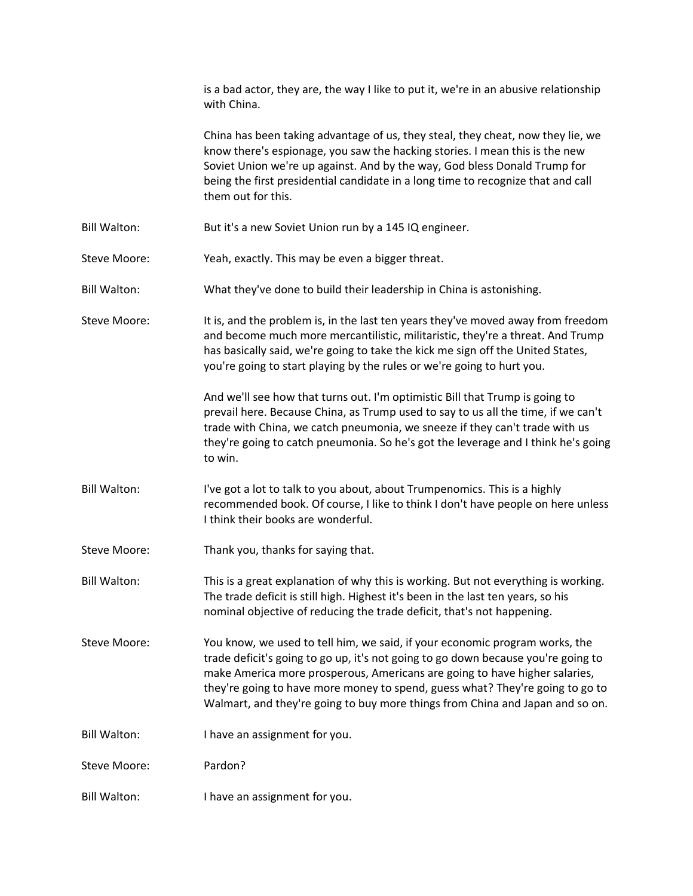|                     | is a bad actor, they are, the way I like to put it, we're in an abusive relationship<br>with China.                                                                                                                                                                                                                                                                                                              |
|---------------------|------------------------------------------------------------------------------------------------------------------------------------------------------------------------------------------------------------------------------------------------------------------------------------------------------------------------------------------------------------------------------------------------------------------|
|                     | China has been taking advantage of us, they steal, they cheat, now they lie, we<br>know there's espionage, you saw the hacking stories. I mean this is the new<br>Soviet Union we're up against. And by the way, God bless Donald Trump for<br>being the first presidential candidate in a long time to recognize that and call<br>them out for this.                                                            |
| <b>Bill Walton:</b> | But it's a new Soviet Union run by a 145 IQ engineer.                                                                                                                                                                                                                                                                                                                                                            |
| Steve Moore:        | Yeah, exactly. This may be even a bigger threat.                                                                                                                                                                                                                                                                                                                                                                 |
| <b>Bill Walton:</b> | What they've done to build their leadership in China is astonishing.                                                                                                                                                                                                                                                                                                                                             |
| Steve Moore:        | It is, and the problem is, in the last ten years they've moved away from freedom<br>and become much more mercantilistic, militaristic, they're a threat. And Trump<br>has basically said, we're going to take the kick me sign off the United States,<br>you're going to start playing by the rules or we're going to hurt you.                                                                                  |
|                     | And we'll see how that turns out. I'm optimistic Bill that Trump is going to<br>prevail here. Because China, as Trump used to say to us all the time, if we can't<br>trade with China, we catch pneumonia, we sneeze if they can't trade with us<br>they're going to catch pneumonia. So he's got the leverage and I think he's going<br>to win.                                                                 |
| <b>Bill Walton:</b> | I've got a lot to talk to you about, about Trumpenomics. This is a highly<br>recommended book. Of course, I like to think I don't have people on here unless<br>I think their books are wonderful.                                                                                                                                                                                                               |
| Steve Moore:        | Thank you, thanks for saying that.                                                                                                                                                                                                                                                                                                                                                                               |
| <b>Bill Walton:</b> | This is a great explanation of why this is working. But not everything is working.<br>The trade deficit is still high. Highest it's been in the last ten years, so his<br>nominal objective of reducing the trade deficit, that's not happening.                                                                                                                                                                 |
| Steve Moore:        | You know, we used to tell him, we said, if your economic program works, the<br>trade deficit's going to go up, it's not going to go down because you're going to<br>make America more prosperous, Americans are going to have higher salaries,<br>they're going to have more money to spend, guess what? They're going to go to<br>Walmart, and they're going to buy more things from China and Japan and so on. |
| <b>Bill Walton:</b> | I have an assignment for you.                                                                                                                                                                                                                                                                                                                                                                                    |
| Steve Moore:        | Pardon?                                                                                                                                                                                                                                                                                                                                                                                                          |
| <b>Bill Walton:</b> | I have an assignment for you.                                                                                                                                                                                                                                                                                                                                                                                    |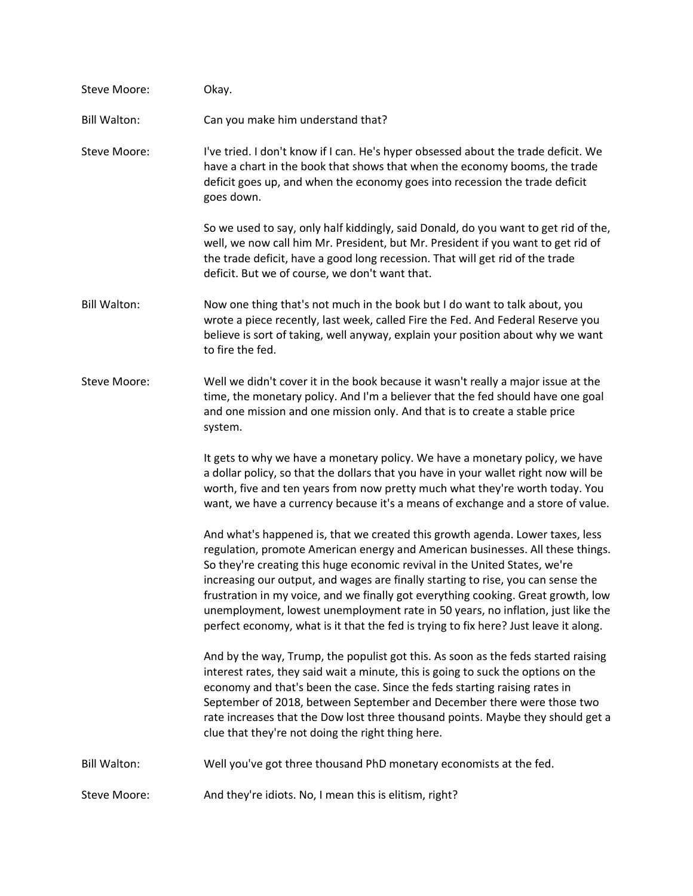| Steve Moore:        | Okay.                                                                                                                                                                                                                                                                                                                                                                                                                                                                                                                                                                                             |
|---------------------|---------------------------------------------------------------------------------------------------------------------------------------------------------------------------------------------------------------------------------------------------------------------------------------------------------------------------------------------------------------------------------------------------------------------------------------------------------------------------------------------------------------------------------------------------------------------------------------------------|
| <b>Bill Walton:</b> | Can you make him understand that?                                                                                                                                                                                                                                                                                                                                                                                                                                                                                                                                                                 |
| Steve Moore:        | I've tried. I don't know if I can. He's hyper obsessed about the trade deficit. We<br>have a chart in the book that shows that when the economy booms, the trade<br>deficit goes up, and when the economy goes into recession the trade deficit<br>goes down.                                                                                                                                                                                                                                                                                                                                     |
|                     | So we used to say, only half kiddingly, said Donald, do you want to get rid of the,<br>well, we now call him Mr. President, but Mr. President if you want to get rid of<br>the trade deficit, have a good long recession. That will get rid of the trade<br>deficit. But we of course, we don't want that.                                                                                                                                                                                                                                                                                        |
| <b>Bill Walton:</b> | Now one thing that's not much in the book but I do want to talk about, you<br>wrote a piece recently, last week, called Fire the Fed. And Federal Reserve you<br>believe is sort of taking, well anyway, explain your position about why we want<br>to fire the fed.                                                                                                                                                                                                                                                                                                                              |
| Steve Moore:        | Well we didn't cover it in the book because it wasn't really a major issue at the<br>time, the monetary policy. And I'm a believer that the fed should have one goal<br>and one mission and one mission only. And that is to create a stable price<br>system.                                                                                                                                                                                                                                                                                                                                     |
|                     | It gets to why we have a monetary policy. We have a monetary policy, we have<br>a dollar policy, so that the dollars that you have in your wallet right now will be<br>worth, five and ten years from now pretty much what they're worth today. You<br>want, we have a currency because it's a means of exchange and a store of value.                                                                                                                                                                                                                                                            |
|                     | And what's happened is, that we created this growth agenda. Lower taxes, less<br>regulation, promote American energy and American businesses. All these things.<br>So they're creating this huge economic revival in the United States, we're<br>increasing our output, and wages are finally starting to rise, you can sense the<br>frustration in my voice, and we finally got everything cooking. Great growth, low<br>unemployment, lowest unemployment rate in 50 years, no inflation, just like the<br>perfect economy, what is it that the fed is trying to fix here? Just leave it along. |
|                     | And by the way, Trump, the populist got this. As soon as the feds started raising<br>interest rates, they said wait a minute, this is going to suck the options on the<br>economy and that's been the case. Since the feds starting raising rates in<br>September of 2018, between September and December there were those two<br>rate increases that the Dow lost three thousand points. Maybe they should get a<br>clue that they're not doing the right thing here.                                                                                                                            |
| <b>Bill Walton:</b> | Well you've got three thousand PhD monetary economists at the fed.                                                                                                                                                                                                                                                                                                                                                                                                                                                                                                                                |
| Steve Moore:        | And they're idiots. No, I mean this is elitism, right?                                                                                                                                                                                                                                                                                                                                                                                                                                                                                                                                            |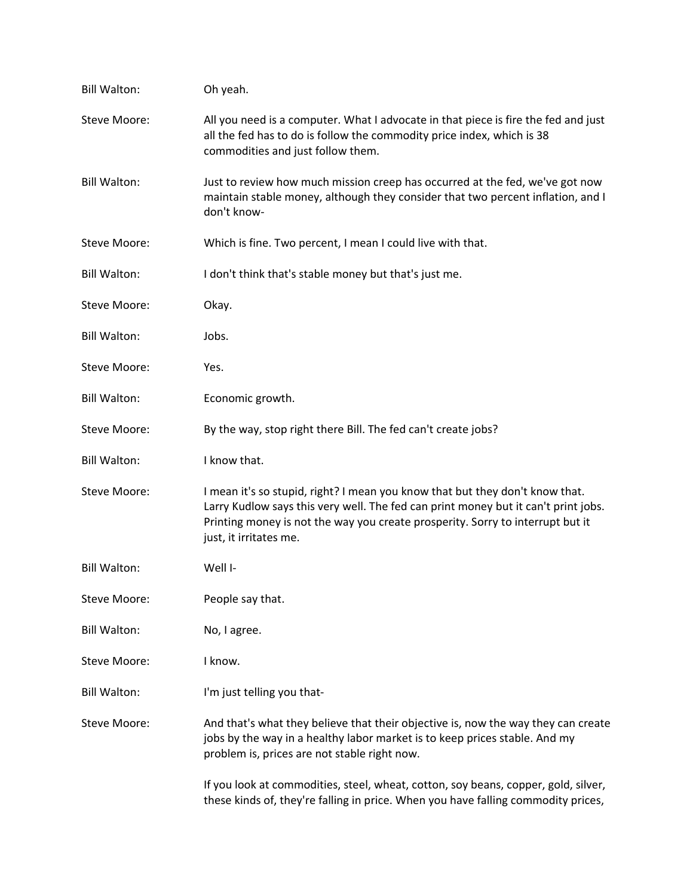| <b>Bill Walton:</b> | Oh yeah.                                                                                                                                                                                                                                                                       |
|---------------------|--------------------------------------------------------------------------------------------------------------------------------------------------------------------------------------------------------------------------------------------------------------------------------|
| Steve Moore:        | All you need is a computer. What I advocate in that piece is fire the fed and just<br>all the fed has to do is follow the commodity price index, which is 38<br>commodities and just follow them.                                                                              |
| <b>Bill Walton:</b> | Just to review how much mission creep has occurred at the fed, we've got now<br>maintain stable money, although they consider that two percent inflation, and I<br>don't know-                                                                                                 |
| Steve Moore:        | Which is fine. Two percent, I mean I could live with that.                                                                                                                                                                                                                     |
| <b>Bill Walton:</b> | I don't think that's stable money but that's just me.                                                                                                                                                                                                                          |
| Steve Moore:        | Okay.                                                                                                                                                                                                                                                                          |
| <b>Bill Walton:</b> | Jobs.                                                                                                                                                                                                                                                                          |
| Steve Moore:        | Yes.                                                                                                                                                                                                                                                                           |
| <b>Bill Walton:</b> | Economic growth.                                                                                                                                                                                                                                                               |
| Steve Moore:        | By the way, stop right there Bill. The fed can't create jobs?                                                                                                                                                                                                                  |
| <b>Bill Walton:</b> | I know that.                                                                                                                                                                                                                                                                   |
| Steve Moore:        | I mean it's so stupid, right? I mean you know that but they don't know that.<br>Larry Kudlow says this very well. The fed can print money but it can't print jobs.<br>Printing money is not the way you create prosperity. Sorry to interrupt but it<br>just, it irritates me. |
| <b>Bill Walton:</b> | Well I-                                                                                                                                                                                                                                                                        |
| Steve Moore:        | People say that.                                                                                                                                                                                                                                                               |
| <b>Bill Walton:</b> | No, I agree.                                                                                                                                                                                                                                                                   |
| Steve Moore:        | I know.                                                                                                                                                                                                                                                                        |
| <b>Bill Walton:</b> | I'm just telling you that-                                                                                                                                                                                                                                                     |
| Steve Moore:        | And that's what they believe that their objective is, now the way they can create<br>jobs by the way in a healthy labor market is to keep prices stable. And my<br>problem is, prices are not stable right now.                                                                |
|                     | If you look at commodities, steel, wheat, cotton, soy beans, copper, gold, silver,<br>these kinds of, they're falling in price. When you have falling commodity prices,                                                                                                        |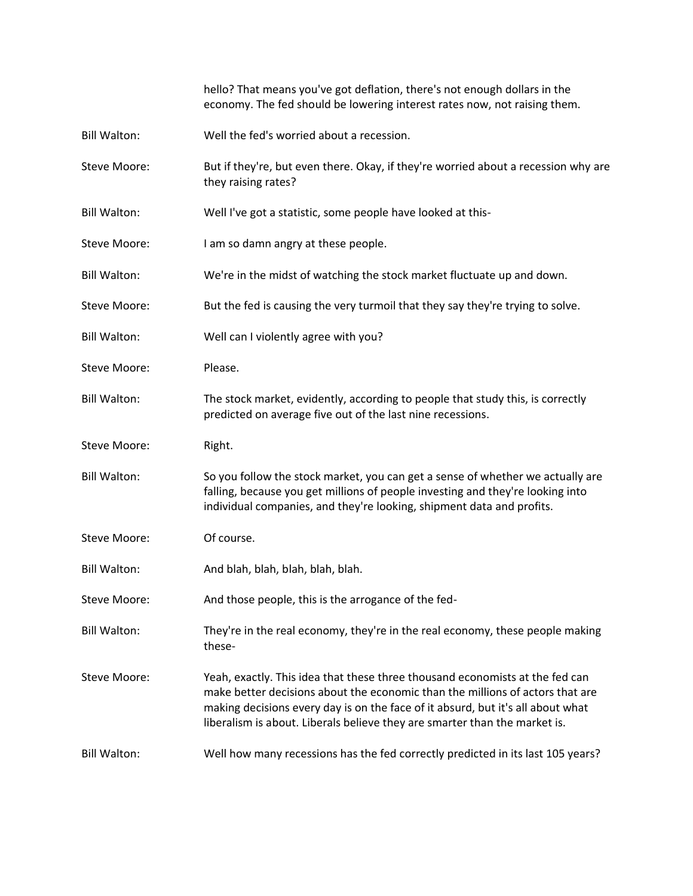hello? That means you've got deflation, there's not enough dollars in the economy. The fed should be lowering interest rates now, not raising them.

- Bill Walton: Well the fed's worried about a recession.
- Steve Moore: But if they're, but even there. Okay, if they're worried about a recession why are they raising rates?
- Bill Walton: Well I've got a statistic, some people have looked at this-
- Steve Moore: I am so damn angry at these people.
- Bill Walton: We're in the midst of watching the stock market fluctuate up and down.
- Steve Moore: But the fed is causing the very turmoil that they say they're trying to solve.
- Bill Walton: Well can I violently agree with you?
- Steve Moore: Please.
- Bill Walton: The stock market, evidently, according to people that study this, is correctly predicted on average five out of the last nine recessions.
- Steve Moore: Right.
- Bill Walton: So you follow the stock market, you can get a sense of whether we actually are falling, because you get millions of people investing and they're looking into individual companies, and they're looking, shipment data and profits.
- Steve Moore: 0f course.
- Bill Walton: And blah, blah, blah, blah, blah.
- Steve Moore: And those people, this is the arrogance of the fed-
- Bill Walton: They're in the real economy, they're in the real economy, these people making these-
- Steve Moore: Yeah, exactly. This idea that these three thousand economists at the fed can make better decisions about the economic than the millions of actors that are making decisions every day is on the face of it absurd, but it's all about what liberalism is about. Liberals believe they are smarter than the market is.
- Bill Walton: Well how many recessions has the fed correctly predicted in its last 105 years?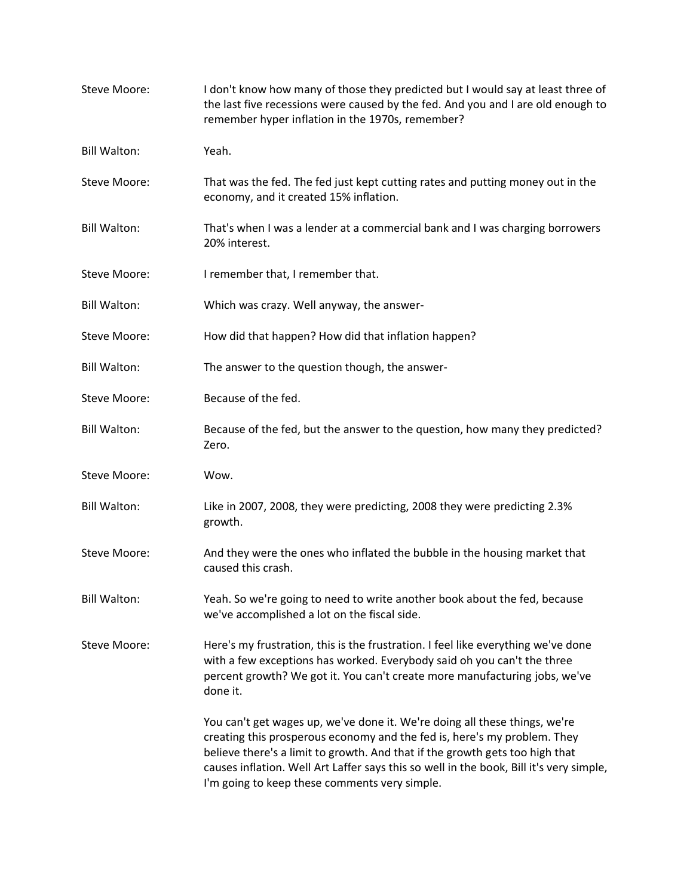| Steve Moore:        | I don't know how many of those they predicted but I would say at least three of<br>the last five recessions were caused by the fed. And you and I are old enough to<br>remember hyper inflation in the 1970s, remember?                                                                                                                                                            |
|---------------------|------------------------------------------------------------------------------------------------------------------------------------------------------------------------------------------------------------------------------------------------------------------------------------------------------------------------------------------------------------------------------------|
| <b>Bill Walton:</b> | Yeah.                                                                                                                                                                                                                                                                                                                                                                              |
| Steve Moore:        | That was the fed. The fed just kept cutting rates and putting money out in the<br>economy, and it created 15% inflation.                                                                                                                                                                                                                                                           |
| <b>Bill Walton:</b> | That's when I was a lender at a commercial bank and I was charging borrowers<br>20% interest.                                                                                                                                                                                                                                                                                      |
| Steve Moore:        | I remember that, I remember that.                                                                                                                                                                                                                                                                                                                                                  |
| <b>Bill Walton:</b> | Which was crazy. Well anyway, the answer-                                                                                                                                                                                                                                                                                                                                          |
| Steve Moore:        | How did that happen? How did that inflation happen?                                                                                                                                                                                                                                                                                                                                |
| <b>Bill Walton:</b> | The answer to the question though, the answer-                                                                                                                                                                                                                                                                                                                                     |
| Steve Moore:        | Because of the fed.                                                                                                                                                                                                                                                                                                                                                                |
| <b>Bill Walton:</b> | Because of the fed, but the answer to the question, how many they predicted?<br>Zero.                                                                                                                                                                                                                                                                                              |
| Steve Moore:        | Wow.                                                                                                                                                                                                                                                                                                                                                                               |
| <b>Bill Walton:</b> | Like in 2007, 2008, they were predicting, 2008 they were predicting 2.3%<br>growth.                                                                                                                                                                                                                                                                                                |
| Steve Moore:        | And they were the ones who inflated the bubble in the housing market that<br>caused this crash.                                                                                                                                                                                                                                                                                    |
| <b>Bill Walton:</b> | Yeah. So we're going to need to write another book about the fed, because<br>we've accomplished a lot on the fiscal side.                                                                                                                                                                                                                                                          |
| Steve Moore:        | Here's my frustration, this is the frustration. I feel like everything we've done<br>with a few exceptions has worked. Everybody said oh you can't the three<br>percent growth? We got it. You can't create more manufacturing jobs, we've<br>done it.                                                                                                                             |
|                     | You can't get wages up, we've done it. We're doing all these things, we're<br>creating this prosperous economy and the fed is, here's my problem. They<br>believe there's a limit to growth. And that if the growth gets too high that<br>causes inflation. Well Art Laffer says this so well in the book, Bill it's very simple,<br>I'm going to keep these comments very simple. |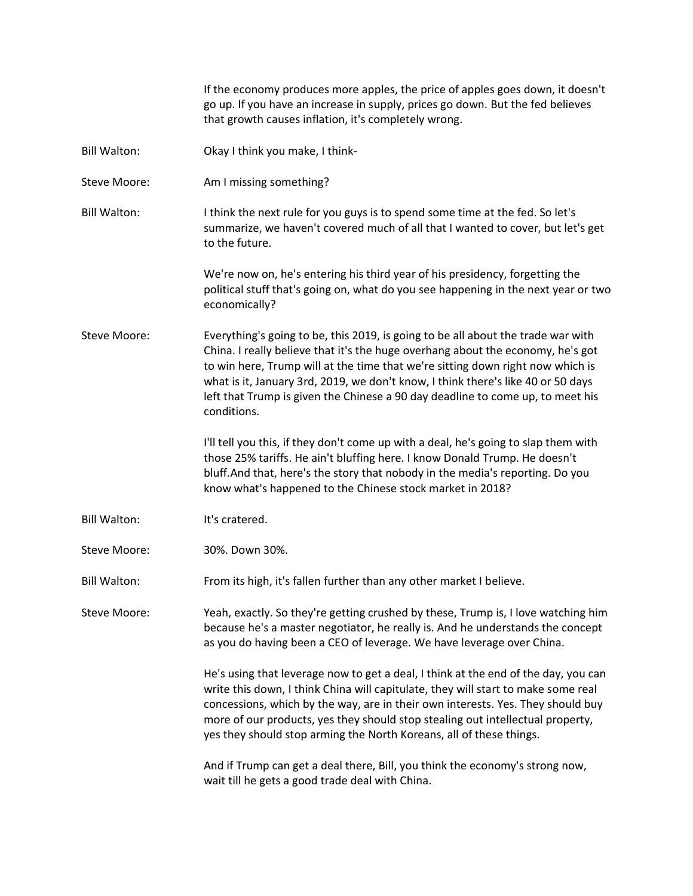go up. If you have an increase in supply, prices go down. But the fed believes that growth causes inflation, it's completely wrong. Bill Walton: Okay I think you make, I think-Steve Moore: Am I missing something? Bill Walton: I think the next rule for you guys is to spend some time at the fed. So let's summarize, we haven't covered much of all that I wanted to cover, but let's get to the future. We're now on, he's entering his third year of his presidency, forgetting the political stuff that's going on, what do you see happening in the next year or two economically? Steve Moore: Everything's going to be, this 2019, is going to be all about the trade war with China. I really believe that it's the huge overhang about the economy, he's got to win here, Trump will at the time that we're sitting down right now which is what is it, January 3rd, 2019, we don't know, I think there's like 40 or 50 days left that Trump is given the Chinese a 90 day deadline to come up, to meet his conditions. I'll tell you this, if they don't come up with a deal, he's going to slap them with those 25% tariffs. He ain't bluffing here. I know Donald Trump. He doesn't bluff.And that, here's the story that nobody in the media's reporting. Do you know what's happened to the Chinese stock market in 2018? Bill Walton: It's cratered. Steve Moore: 30%. Down 30%. Bill Walton: From its high, it's fallen further than any other market I believe. Steve Moore: Yeah, exactly. So they're getting crushed by these, Trump is, I love watching him because he's a master negotiator, he really is. And he understands the concept as you do having been a CEO of leverage. We have leverage over China. He's using that leverage now to get a deal, I think at the end of the day, you can write this down, I think China will capitulate, they will start to make some real concessions, which by the way, are in their own interests. Yes. They should buy more of our products, yes they should stop stealing out intellectual property, yes they should stop arming the North Koreans, all of these things.

If the economy produces more apples, the price of apples goes down, it doesn't

And if Trump can get a deal there, Bill, you think the economy's strong now, wait till he gets a good trade deal with China.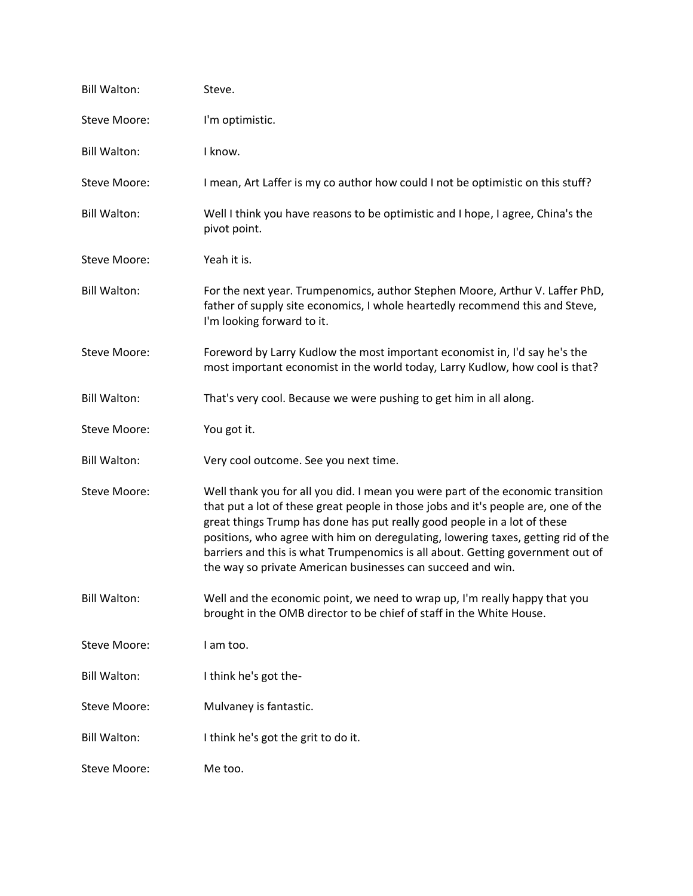| <b>Bill Walton:</b> | Steve.                                                                                                                                                                                                                                                                                                                                                                                                                                                                                  |
|---------------------|-----------------------------------------------------------------------------------------------------------------------------------------------------------------------------------------------------------------------------------------------------------------------------------------------------------------------------------------------------------------------------------------------------------------------------------------------------------------------------------------|
| Steve Moore:        | I'm optimistic.                                                                                                                                                                                                                                                                                                                                                                                                                                                                         |
| <b>Bill Walton:</b> | I know.                                                                                                                                                                                                                                                                                                                                                                                                                                                                                 |
| Steve Moore:        | I mean, Art Laffer is my co author how could I not be optimistic on this stuff?                                                                                                                                                                                                                                                                                                                                                                                                         |
| <b>Bill Walton:</b> | Well I think you have reasons to be optimistic and I hope, I agree, China's the<br>pivot point.                                                                                                                                                                                                                                                                                                                                                                                         |
| Steve Moore:        | Yeah it is.                                                                                                                                                                                                                                                                                                                                                                                                                                                                             |
| <b>Bill Walton:</b> | For the next year. Trumpenomics, author Stephen Moore, Arthur V. Laffer PhD,<br>father of supply site economics, I whole heartedly recommend this and Steve,<br>I'm looking forward to it.                                                                                                                                                                                                                                                                                              |
| Steve Moore:        | Foreword by Larry Kudlow the most important economist in, I'd say he's the<br>most important economist in the world today, Larry Kudlow, how cool is that?                                                                                                                                                                                                                                                                                                                              |
| <b>Bill Walton:</b> | That's very cool. Because we were pushing to get him in all along.                                                                                                                                                                                                                                                                                                                                                                                                                      |
| Steve Moore:        | You got it.                                                                                                                                                                                                                                                                                                                                                                                                                                                                             |
| <b>Bill Walton:</b> | Very cool outcome. See you next time.                                                                                                                                                                                                                                                                                                                                                                                                                                                   |
| Steve Moore:        | Well thank you for all you did. I mean you were part of the economic transition<br>that put a lot of these great people in those jobs and it's people are, one of the<br>great things Trump has done has put really good people in a lot of these<br>positions, who agree with him on deregulating, lowering taxes, getting rid of the<br>barriers and this is what Trumpenomics is all about. Getting government out of<br>the way so private American businesses can succeed and win. |
| <b>Bill Walton:</b> | Well and the economic point, we need to wrap up, I'm really happy that you<br>brought in the OMB director to be chief of staff in the White House.                                                                                                                                                                                                                                                                                                                                      |
| Steve Moore:        | I am too.                                                                                                                                                                                                                                                                                                                                                                                                                                                                               |
| <b>Bill Walton:</b> | I think he's got the-                                                                                                                                                                                                                                                                                                                                                                                                                                                                   |
| Steve Moore:        | Mulvaney is fantastic.                                                                                                                                                                                                                                                                                                                                                                                                                                                                  |
| <b>Bill Walton:</b> | I think he's got the grit to do it.                                                                                                                                                                                                                                                                                                                                                                                                                                                     |
| Steve Moore:        | Me too.                                                                                                                                                                                                                                                                                                                                                                                                                                                                                 |